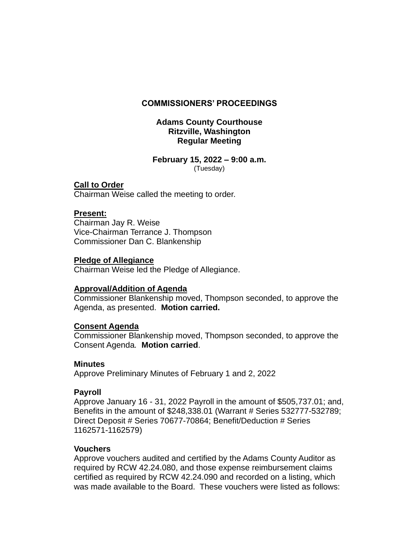## **COMMISSIONERS' PROCEEDINGS**

## **Adams County Courthouse Ritzville, Washington Regular Meeting**

#### **February 15, 2022 – 9:00 a.m.** (Tuesday)

## **Call to Order**

Chairman Weise called the meeting to order.

# **Present:**

Chairman Jay R. Weise Vice-Chairman Terrance J. Thompson Commissioner Dan C. Blankenship

### **Pledge of Allegiance**

Chairman Weise led the Pledge of Allegiance.

# **Approval/Addition of Agenda**

Commissioner Blankenship moved, Thompson seconded, to approve the Agenda, as presented. **Motion carried.**

# **Consent Agenda**

Commissioner Blankenship moved, Thompson seconded, to approve the Consent Agenda*.* **Motion carried**.

### **Minutes**

Approve Preliminary Minutes of February 1 and 2, 2022

# **Payroll**

Approve January 16 - 31, 2022 Payroll in the amount of \$505,737.01; and, Benefits in the amount of \$248,338.01 (Warrant # Series 532777-532789; Direct Deposit # Series 70677-70864; Benefit/Deduction # Series 1162571-1162579)

### **Vouchers**

Approve vouchers audited and certified by the Adams County Auditor as required by RCW 42.24.080, and those expense reimbursement claims certified as required by RCW 42.24.090 and recorded on a listing, which was made available to the Board. These vouchers were listed as follows: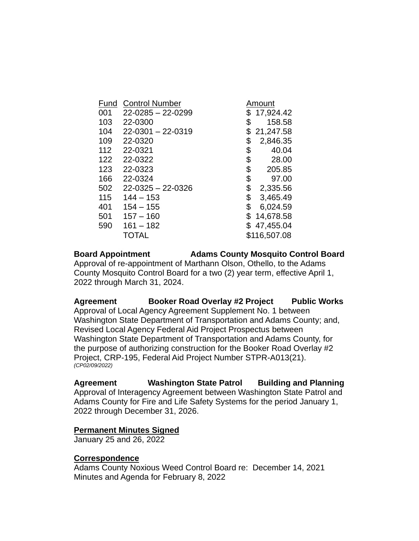| Fund<br>001 | <b>Control Number</b><br>$22 - 0285 - 22 - 0299$ | Amount<br>\$17,924.42 |
|-------------|--------------------------------------------------|-----------------------|
| 103         | 22-0300                                          | \$<br>158.58          |
| 104         | $22 - 0301 - 22 - 0319$                          | \$<br>21,247.58       |
| 109         | 22-0320                                          | \$<br>2,846.35        |
| 112         | 22-0321                                          | \$<br>40.04           |
| 122         | 22-0322                                          | \$<br>28.00           |
| 123         | 22-0323                                          | \$<br>205.85          |
| 166         | 22-0324                                          | \$<br>97.00           |
| 502         | $22 - 0325 - 22 - 0326$                          | \$<br>2,335.56        |
| 115         | $144 - 153$                                      | \$<br>3,465.49        |
| 401         | $154 - 155$                                      | \$<br>6,024.59        |
| 501         | $157 - 160$                                      | \$<br>14,678.58       |
| 590         | $161 - 182$                                      | \$47,455.04           |
|             | TOTAL                                            | \$116,507.08          |

# **Board Appointment Adams County Mosquito Control Board**

Approval of re-appointment of Marthann Olson, Othello, to the Adams County Mosquito Control Board for a two (2) year term, effective April 1, 2022 through March 31, 2024.

**Agreement Booker Road Overlay #2 Project Public Works** Approval of Local Agency Agreement Supplement No. 1 between Washington State Department of Transportation and Adams County; and, Revised Local Agency Federal Aid Project Prospectus between Washington State Department of Transportation and Adams County, for the purpose of authorizing construction for the Booker Road Overlay #2 Project, CRP-195, Federal Aid Project Number STPR-A013(21). *(CP02/09/2022)*

**Agreement Washington State Patrol Building and Planning** Approval of Interagency Agreement between Washington State Patrol and Adams County for Fire and Life Safety Systems for the period January 1, 2022 through December 31, 2026.

### **Permanent Minutes Signed**

January 25 and 26, 2022

### **Correspondence**

Adams County Noxious Weed Control Board re: December 14, 2021 Minutes and Agenda for February 8, 2022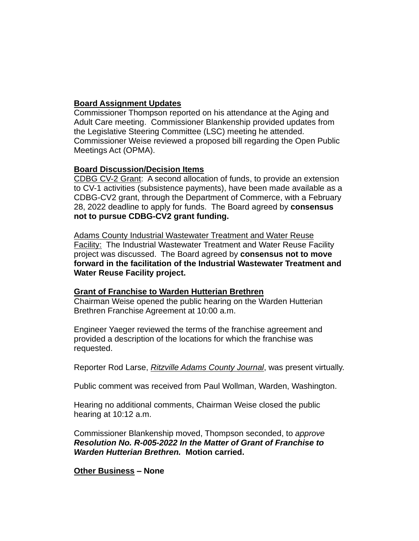# **Board Assignment Updates**

Commissioner Thompson reported on his attendance at the Aging and Adult Care meeting. Commissioner Blankenship provided updates from the Legislative Steering Committee (LSC) meeting he attended. Commissioner Weise reviewed a proposed bill regarding the Open Public Meetings Act (OPMA).

# **Board Discussion/Decision Items**

CDBG CV-2 Grant: A second allocation of funds, to provide an extension to CV-1 activities (subsistence payments), have been made available as a CDBG-CV2 grant, through the Department of Commerce, with a February 28, 2022 deadline to apply for funds. The Board agreed by **consensus not to pursue CDBG-CV2 grant funding.**

Adams County Industrial Wastewater Treatment and Water Reuse Facility: The Industrial Wastewater Treatment and Water Reuse Facility project was discussed. The Board agreed by **consensus not to move forward in the facilitation of the Industrial Wastewater Treatment and Water Reuse Facility project.**

# **Grant of Franchise to Warden Hutterian Brethren**

Chairman Weise opened the public hearing on the Warden Hutterian Brethren Franchise Agreement at 10:00 a.m.

Engineer Yaeger reviewed the terms of the franchise agreement and provided a description of the locations for which the franchise was requested.

Reporter Rod Larse, *Ritzville Adams County Journal*, was present virtually.

Public comment was received from Paul Wollman, Warden, Washington.

Hearing no additional comments, Chairman Weise closed the public hearing at 10:12 a.m.

Commissioner Blankenship moved, Thompson seconded, to *approve Resolution No. R-005-2022 In the Matter of Grant of Franchise to Warden Hutterian Brethren.* **Motion carried.**

# **Other Business – None**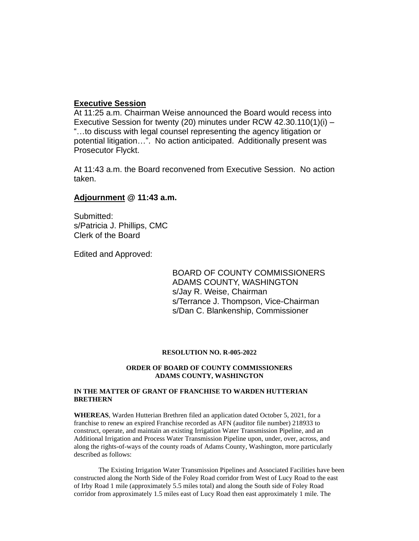#### **Executive Session**

At 11:25 a.m. Chairman Weise announced the Board would recess into Executive Session for twenty (20) minutes under RCW 42.30.110(1)(i) – "…to discuss with legal counsel representing the agency litigation or potential litigation…". No action anticipated. Additionally present was Prosecutor Flyckt.

At 11:43 a.m. the Board reconvened from Executive Session. No action taken.

#### **Adjournment @ 11:43 a.m.**

Submitted: s/Patricia J. Phillips, CMC Clerk of the Board

Edited and Approved:

BOARD OF COUNTY COMMISSIONERS ADAMS COUNTY, WASHINGTON s/Jay R. Weise, Chairman s/Terrance J. Thompson, Vice-Chairman s/Dan C. Blankenship, Commissioner

#### **RESOLUTION NO. R-005-2022**

#### **ORDER OF BOARD OF COUNTY COMMISSIONERS ADAMS COUNTY, WASHINGTON**

#### **IN THE MATTER OF GRANT OF FRANCHISE TO WARDEN HUTTERIAN BRETHERN**

**WHEREAS**, Warden Hutterian Brethren filed an application dated October 5, 2021, for a franchise to renew an expired Franchise recorded as AFN (auditor file number) 218933 to construct, operate, and maintain an existing Irrigation Water Transmission Pipeline, and an Additional Irrigation and Process Water Transmission Pipeline upon, under, over, across, and along the rights-of-ways of the county roads of Adams County, Washington, more particularly described as follows:

The Existing Irrigation Water Transmission Pipelines and Associated Facilities have been constructed along the North Side of the Foley Road corridor from West of Lucy Road to the east of Irby Road 1 mile (approximately 5.5 miles total) and along the South side of Foley Road corridor from approximately 1.5 miles east of Lucy Road then east approximately 1 mile. The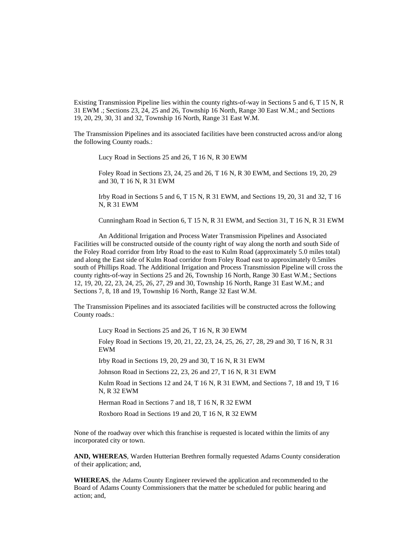Existing Transmission Pipeline lies within the county rights-of-way in Sections 5 and 6, T 15 N, R 31 EWM .; Sections 23, 24, 25 and 26, Township 16 North, Range 30 East W.M.; and Sections 19, 20, 29, 30, 31 and 32, Township 16 North, Range 31 East W.M.

The Transmission Pipelines and its associated facilities have been constructed across and/or along the following County roads.:

Lucy Road in Sections 25 and 26, T 16 N, R 30 EWM

Foley Road in Sections 23, 24, 25 and 26, T 16 N, R 30 EWM, and Sections 19, 20, 29 and 30, T 16 N, R 31 EWM

Irby Road in Sections 5 and 6, T 15 N, R 31 EWM, and Sections 19, 20, 31 and 32, T 16 N, R 31 EWM

Cunningham Road in Section 6, T 15 N, R 31 EWM, and Section 31, T 16 N, R 31 EWM

An Additional Irrigation and Process Water Transmission Pipelines and Associated Facilities will be constructed outside of the county right of way along the north and south Side of the Foley Road corridor from Irby Road to the east to Kulm Road (approximately 5.0 miles total) and along the East side of Kulm Road corridor from Foley Road east to approximately 0.5miles south of Phillips Road. The Additional Irrigation and Process Transmission Pipeline will cross the county rights-of-way in Sections 25 and 26, Township 16 North, Range 30 East W.M.; Sections 12, 19, 20, 22, 23, 24, 25, 26, 27, 29 and 30, Township 16 North, Range 31 East W.M.; and Sections 7, 8, 18 and 19, Township 16 North, Range 32 East W.M.

The Transmission Pipelines and its associated facilities will be constructed across the following County roads.:

Lucy Road in Sections 25 and 26, T 16 N, R 30 EWM

Foley Road in Sections 19, 20, 21, 22, 23, 24, 25, 26, 27, 28, 29 and 30, T 16 N, R 31 EWM

Irby Road in Sections 19, 20, 29 and 30, T 16 N, R 31 EWM

Johnson Road in Sections 22, 23, 26 and 27, T 16 N, R 31 EWM

Kulm Road in Sections 12 and 24, T 16 N, R 31 EWM, and Sections 7, 18 and 19, T 16 N, R 32 EWM

Herman Road in Sections 7 and 18, T 16 N, R 32 EWM

Roxboro Road in Sections 19 and 20, T 16 N, R 32 EWM

None of the roadway over which this franchise is requested is located within the limits of any incorporated city or town.

**AND, WHEREAS**, Warden Hutterian Brethren formally requested Adams County consideration of their application; and,

**WHEREAS**, the Adams County Engineer reviewed the application and recommended to the Board of Adams County Commissioners that the matter be scheduled for public hearing and action; and,